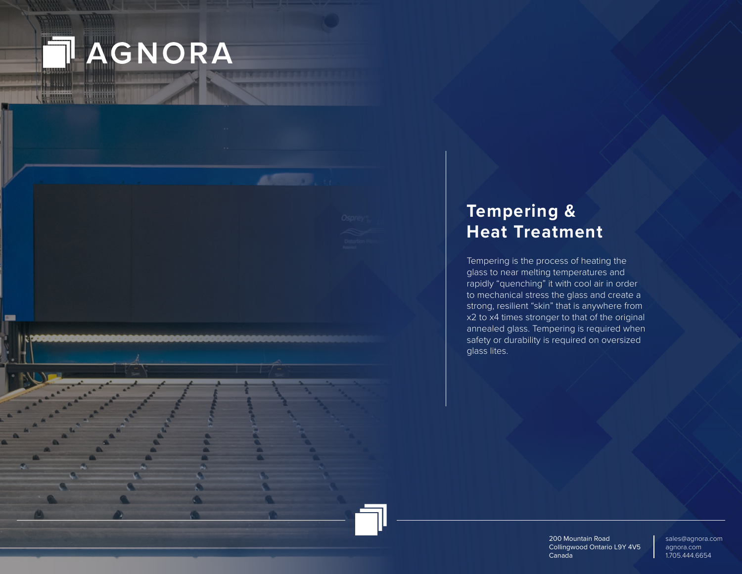

WHITE

**CHE** 

# **Tempering & Heat Treatment**

Tempering is the process of heating the glass to near melting temperatures and rapidly "quenching" it with cool air in order to mechanical stress the glass and create a strong, resilient "skin" that is anywhere from x2 to x4 times stronger to that of the original annealed glass. Tempering is required when safety or durability is required on oversized glass lites.

> 200 Mountain Road Collingwood Ontario L9Y 4V5 Canada

sales@agnora.com agnora.com 1.705.444.6654